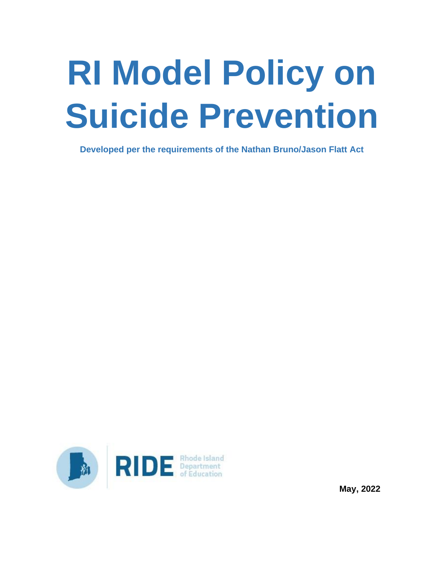# **RI Model Policy on Suicide Prevention**

**Developed per the requirements of the Nathan Bruno/Jason Flatt Act**



**May, 2022**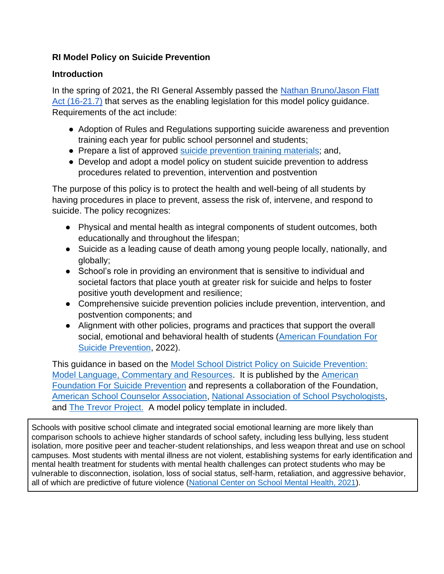## **RI Model Policy on Suicide Prevention**

## **Introduction**

In the spring of 2021, the RI General Assembly passed the Nathan Bruno/Jason Flatt [Act \(16-21.7\)](http://webserver.rilin.state.ri.us/Statutes/TITLE16/16-21.7/INDEX.htm) that serves as the enabling legislation for this model policy guidance. Requirements of the act include:

- Adoption of Rules and Regulations supporting suicide awareness and prevention training each year for public school personnel and students;
- Prepare a list of approved [suicide prevention](https://www.ride.ri.gov/Portals/0/Uploads/Documents/Students-and-Families-Great-Schools/Health-Safety/Mental-Wellness/Resource-List.pdf?ver=2022-03-29-105910-987) training materials; and,
- Develop and adopt a model policy on student suicide prevention to address procedures related to prevention, intervention and postvention

The purpose of this policy is to protect the health and well-being of all students by having procedures in place to prevent, assess the risk of, intervene, and respond to suicide. The policy recognizes:

- Physical and mental health as integral components of student outcomes, both educationally and throughout the lifespan;
- Suicide as a leading cause of death among young people locally, nationally, and globally;
- School's role in providing an environment that is sensitive to individual and societal factors that place youth at greater risk for suicide and helps to foster positive youth development and resilience;
- Comprehensive suicide prevention policies include prevention, intervention, and postvention components; and
- Alignment with other policies, programs and practices that support the overall social, emotional and behavioral health of students [\(American Foundation For](https://afsp.org/) [Suicide Prevention,](https://afsp.org/) 2022).

This guidance in based on the [Model School District Policy on Suicide Prevention:](https://afsp.org/model-school-policy-on-suicide-prevention)  [Model Language, Commentary and Resources.](https://afsp.org/model-school-policy-on-suicide-prevention) It is published by the [American](https://afsp.org/)  [Foundation For Suicide Prevention](https://afsp.org/) and represents a collaboration of the Foundation, [American School Counselor Association,](https://www.schoolcounselor.org/) [National Association of School Psychologists,](https://www.nasponline.org/) and [The Trevor Project.](https://www.thetrevorproject.org/) A model policy template in included.

Schools with positive school climate and integrated social emotional learning are more likely than comparison schools to achieve higher standards of school safety, including less bullying, less student isolation, more positive peer and teacher-student relationships, and less weapon threat and use on school campuses. Most students with mental illness are not violent, establishing systems for early identification and mental health treatment for students with mental health challenges can protect students who may be vulnerable to disconnection, isolation, loss of social status, self-harm, retaliation, and aggressive behavior, all of which are predictive of future violence [\(National Center on School Mental Health, 2021\)](https://www.schoolmentalhealth.org/).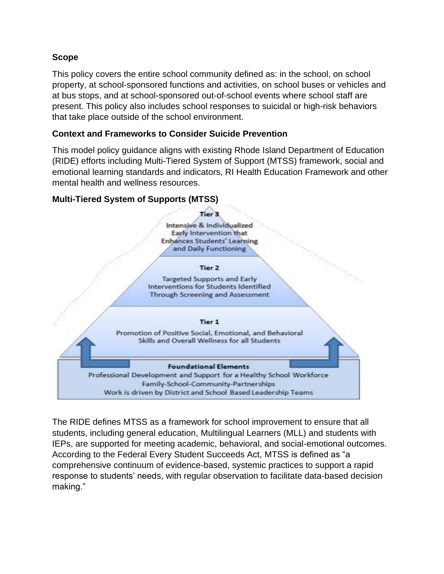## **Scope**

This policy covers the entire school community defined as: in the school, on school property, at school-sponsored functions and activities, on school buses or vehicles and at bus stops, and at school-sponsored out-of-school events where school staff are present. This policy also includes school responses to suicidal or high-risk behaviors that take place outside of the school environment.

## **Context and Frameworks to Consider Suicide Prevention**

This model policy guidance aligns with existing Rhode Island Department of Education (RIDE) efforts including Multi-Tiered System of Support (MTSS) framework, social and emotional learning standards and indicators, RI Health Education Framework and other mental health and wellness resources.

## **Multi-Tiered System of Supports (MTSS)**



Tier<sub>2</sub>

**Targeted Supports and Early** Interventions for Students Identified Through Screening and Assessment

#### Tier 1

Promotion of Positive Social, Emotional, and Behavioral Skills and Overall Wellness for all Students

#### **Foundational Elements**

Professional Development and Support for a Healthy School Workforce Family-School-Community-Partnerships Work is driven by District and School Based Leadership Teams

The RIDE defines MTSS as a framework for school improvement to ensure that all students, including general education, Multilingual Learners (MLL) and students with IEPs, are supported for meeting academic, behavioral, and social-emotional outcomes. According to the Federal Every Student Succeeds Act, MTSS is defined as "a comprehensive continuum of evidence-based, systemic practices to support a rapid response to students' needs, with regular observation to facilitate data-based decision making."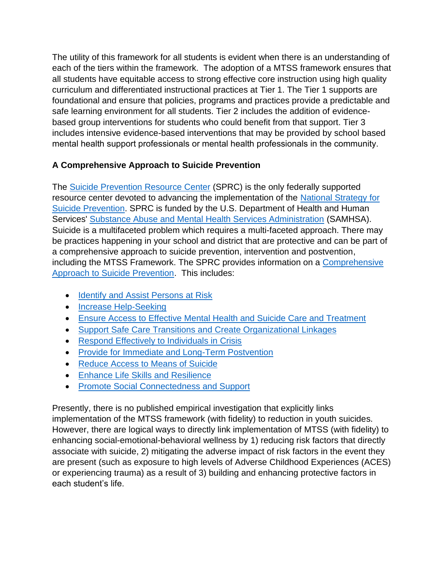The utility of this framework for all students is evident when there is an understanding of each of the tiers within the framework. The adoption of a MTSS framework ensures that all students have equitable access to strong effective core instruction using high quality curriculum and differentiated instructional practices at Tier 1. The Tier 1 supports are foundational and ensure that policies, programs and practices provide a predictable and safe learning environment for all students. Tier 2 includes the addition of evidencebased group interventions for students who could benefit from that support. Tier 3 includes intensive evidence-based interventions that may be provided by school based mental health support professionals or mental health professionals in the community.  

## **A Comprehensive Approach to Suicide Prevention**

The [Suicide Prevention](https://www.sprc.org/) Resource Center (SPRC) is the only federally supported resource center devoted to advancing the implementation of the [National Strategy for](https://store.samhsa.gov/product/National-Strategy-for-Suicide-Prevention-2012-Goals-and-Objectives-for-Action/PEP12-NSSPGOALS)  [Suicide Prevention.](https://store.samhsa.gov/product/National-Strategy-for-Suicide-Prevention-2012-Goals-and-Objectives-for-Action/PEP12-NSSPGOALS) SPRC is funded by the U.S. Department of Health and Human Services' [Substance Abuse and Mental Health Services Administration](http://www.samhsa.gov/) (SAMHSA). Suicide is a multifaceted problem which requires a multi-faceted approach. There may be practices happening in your school and district that are protective and can be part of a comprehensive approach to suicide prevention, intervention and postvention, including the MTSS Framework. The SPRC provides information on a Comprehensive [Approach to Suicide Prevention.](https://www.sprc.org/effective-prevention/comprehensive-approach) This includes:

- [Identify and Assist Persons](https://www.sprc.org/comprehensive-approach/identify-assist) at Risk
- [Increase Help-Seeking](https://www.sprc.org/comprehensive-approach/help-seeking)
- [Ensure Access to Effective Mental Health and Suicide Care and Treatment](https://www.sprc.org/comprehensive-approach/effective-care)
- [Support Safe Care Transitions and Create Organizational Linkages](https://www.sprc.org/comprehensive-approach/transitions-lInkages)
- [Respond Effectively to Individuals in Crisis](https://www.sprc.org/comprehensive-approach/respond-to-crisis)
- [Provide for Immediate and Long-Term Postvention](https://www.sprc.org/comprehensive-approach/postvention)
- [Reduce Access to Means of Suicide](https://www.sprc.org/comprehensive-approach/reduce-means)
- [Enhance Life Skills and Resilience](https://www.sprc.org/comprehensive-approach/life-skills)
- [Promote Social Connectedness and Support](https://www.sprc.org/comprehensive-approach/social-connectedness)

Presently, there is no published empirical investigation that explicitly links implementation of the MTSS framework (with fidelity) to reduction in youth suicides. However, there are logical ways to directly link implementation of MTSS (with fidelity) to enhancing social-emotional-behavioral wellness by 1) reducing risk factors that directly associate with suicide, 2) mitigating the adverse impact of risk factors in the event they are present (such as exposure to high levels of Adverse Childhood Experiences (ACES) or experiencing trauma) as a result of 3) building and enhancing protective factors in each student's life.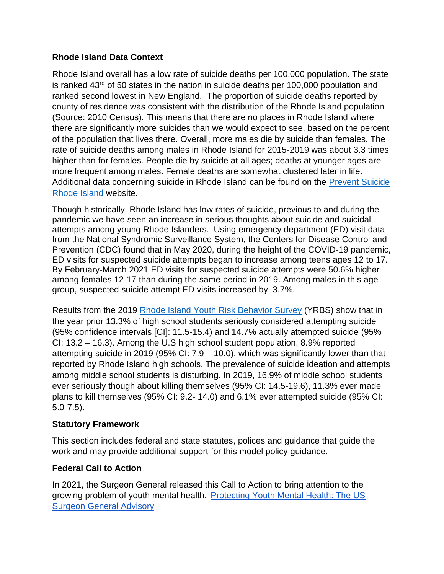## **Rhode Island Data Context**

Rhode Island overall has a low rate of suicide deaths per 100,000 population. The state is ranked  $43<sup>rd</sup>$  of 50 states in the nation in suicide deaths per 100,000 population and ranked second lowest in New England. The proportion of suicide deaths reported by county of residence was consistent with the distribution of the Rhode Island population (Source: 2010 Census). This means that there are no places in Rhode Island where there are significantly more suicides than we would expect to see, based on the percent of the population that lives there. Overall, more males die by suicide than females. The rate of suicide deaths among males in Rhode Island for 2015-2019 was about 3.3 times higher than for females. People die by suicide at all ages; deaths at younger ages are more frequent among males. Female deaths are somewhat clustered later in life. Additional data concerning suicide in Rhode Island can be found on the [Prevent Suicide](https://preventsuicideri.org/ri-suicide-data/)  [Rhode Island](https://preventsuicideri.org/ri-suicide-data/) website.

Though historically, Rhode Island has low rates of suicide, previous to and during the pandemic we have seen an increase in serious thoughts about suicide and suicidal attempts among young Rhode Islanders. Using emergency department (ED) visit data from the National Syndromic Surveillance System, the Centers for Disease Control and Prevention (CDC) found that in May 2020, during the height of the COVID-19 pandemic, ED visits for suspected suicide attempts began to increase among teens ages 12 to 17. By February-March 2021 ED visits for suspected suicide attempts were 50.6% higher among females 12-17 than during the same period in 2019. Among males in this age group, suspected suicide attempt ED visits increased by 3.7%.

Results from the 2019 [Rhode Island Youth Risk Behavior Survey](https://health.ri.gov/data/adolescenthealth/) (YRBS) show that in the year prior 13.3% of high school students seriously considered attempting suicide (95% confidence intervals [CI]: 11.5-15.4) and 14.7% actually attempted suicide (95% CI: 13.2 – 16.3). Among the U.S high school student population, 8.9% reported attempting suicide in 2019 (95% CI: 7.9 – 10.0), which was significantly lower than that reported by Rhode Island high schools. The prevalence of suicide ideation and attempts among middle school students is disturbing. In 2019, 16.9% of middle school students ever seriously though about killing themselves (95% CI: 14.5-19.6), 11.3% ever made plans to kill themselves (95% CI: 9.2- 14.0) and 6.1% ever attempted suicide (95% CI: 5.0-7.5).

## **Statutory Framework**

This section includes federal and state statutes, polices and guidance that guide the work and may provide additional support for this model policy guidance.

## **Federal Call to Action**

In 2021, the Surgeon General released this Call to Action to bring attention to the growing problem of youth mental health. [Protecting Youth Mental Health: The US](https://www.hhs.gov/sites/default/files/surgeon-general-youth-mental-health-advisory.pdf)  [Surgeon General Advisory](https://www.hhs.gov/sites/default/files/surgeon-general-youth-mental-health-advisory.pdf)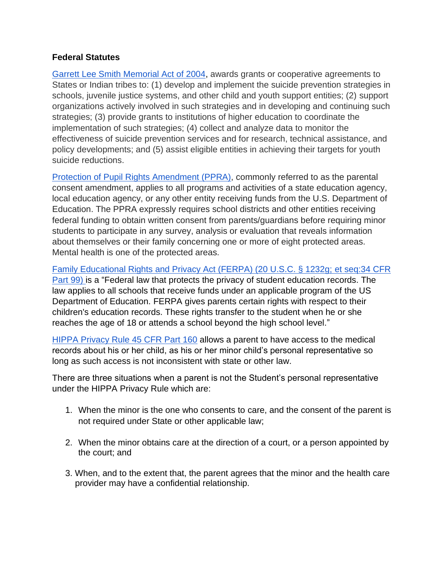#### **Federal Statutes**

[Garrett Lee Smith Memorial Act of 2004,](https://www.congress.gov/bill/108th-congress/senate-bill/2634?r=3) awards grants or cooperative agreements to States or Indian tribes to: (1) develop and implement the suicide prevention strategies in schools, juvenile justice systems, and other child and youth support entities; (2) support organizations actively involved in such strategies and in developing and continuing such strategies; (3) provide grants to institutions of higher education to coordinate the implementation of such strategies; (4) collect and analyze data to monitor the effectiveness of suicide prevention services and for research, technical assistance, and policy developments; and (5) assist eligible entities in achieving their targets for youth suicide reductions.

[Protection of Pupil Rights Amendment \(PPRA\),](https://studentprivacy.ed.gov/faq/what-protection-pupil-rights-amendment-ppra) commonly referred to as the parental consent amendment, applies to all programs and activities of a state education agency, local education agency, or any other entity receiving funds from the U.S. Department of Education. The PPRA expressly requires school districts and other entities receiving federal funding to obtain written consent from parents/guardians before requiring minor students to participate in any survey, analysis or evaluation that reveals information about themselves or their family concerning one or more of eight protected areas. Mental health is one of the protected areas.

[Family Educational Rights and Privacy Act \(FERPA\) \(20 U.S.C. § 1232g; et seq:34 CFR](https://www2.ed.gov/policy/gen/guid/fpco/ferpa/index.html)  [Part 99\) i](https://www2.ed.gov/policy/gen/guid/fpco/ferpa/index.html)s a "Federal law that protects the privacy of student education records. The law applies to all schools that receive funds under an applicable program of the US Department of Education. FERPA gives parents certain rights with respect to their children's education records. These rights transfer to the student when he or she reaches the age of 18 or attends a school beyond the high school level."

[HIPPA Privacy Rule 45 CFR Part 160](https://www.hhs.gov/hipaa/for-professionals/privacy/index.html) allows a parent to have access to the medical records about his or her child, as his or her minor child's personal representative so long as such access is not inconsistent with state or other law.

There are three situations when a parent is not the Student's personal representative under the HIPPA Privacy Rule which are:

- 1. When the minor is the one who consents to care, and the consent of the parent is not required under State or other applicable law;
- 2. When the minor obtains care at the direction of a court, or a person appointed by the court; and
- 3. When, and to the extent that, the parent agrees that the minor and the health care provider may have a confidential relationship.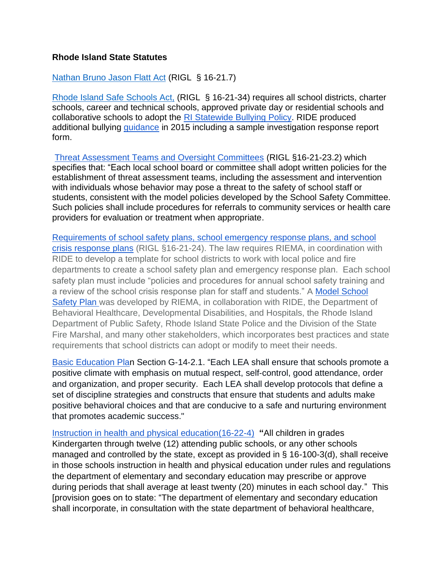#### **Rhode Island State Statutes**

#### [Nathan Bruno Jason Flatt Act](http://webserver.rilin.state.ri.us/BillText/BillText20/SenateText20/S2508.pdf) (RIGL § 16-21.7)

Rhode Island [Safe Schools Act,](http://webserver.rilin.state.ri.us/statutes/title16/16-21/16-21-34.htm) (RIGL § 16-21-34) requires all school districts, charter schools, career and technical schools, approved private day or residential schools and collaborative schools to adopt the [RI Statewide Bullying Policy.](https://www.ride.ri.gov/Portals/0/Uploads/Documents/Students-and-Families-Great-Schools/Health-Safety/RI-Statewide-Bullying-Policy.pdf) RIDE produced additional bullying *guidance* in 2015 including a sample investigation response report form.

[Threat Assessment Teams and Oversight Committees](http://webserver.rilin.state.ri.us/Statutes/TITLE16/16-21/16-21-23.2.HTM) (RIGL §16-21-23.2) which specifies that: "Each local school board or committee shall adopt written policies for the establishment of threat assessment teams, including the assessment and intervention with individuals whose behavior may pose a threat to the safety of school staff or students, consistent with the model policies developed by the School Safety Committee. Such policies shall include procedures for referrals to community services or health care providers for evaluation or treatment when appropriate.

[Requirements of school safety plans, school emergency response plans, and school](http://webserver.rilin.state.ri.us/Statutes/TITLE16/16-21/16-21-24.HTM)  [crisis response plans](http://webserver.rilin.state.ri.us/Statutes/TITLE16/16-21/16-21-24.HTM) (RIGL §16-21-24). The law requires RIEMA, in coordination with RIDE to develop a template for school districts to work with local police and fire departments to create a school safety plan and emergency response plan. Each school safety plan must include "policies and procedures for annual school safety training and a review of the school crisis response plan for staff and students." A [Model School](https://www.ride.ri.gov/StudentsFamilies/HealthSafety/EmergencyPreparedness.aspx)  [Safety Plan w](https://www.ride.ri.gov/StudentsFamilies/HealthSafety/EmergencyPreparedness.aspx)as developed by RIEMA, in collaboration with RIDE, the Department of Behavioral Healthcare, Developmental Disabilities, and Hospitals, the Rhode Island Department of Public Safety, Rhode Island State Police and the Division of the State Fire Marshal, and many other stakeholders, which incorporates best practices and state requirements that school districts can adopt or modify to meet their needs.

[Basic Education Plan](https://www.ride.ri.gov/Portals/0/Uploads/Documents/Board-of-Education/Regulations/200-RICR-20-10-1_(BEP).pdf?ver=2018-12-19-142509-640) Section G-14-2.1. "Each LEA shall ensure that schools promote a positive climate with emphasis on mutual respect, self‐control, good attendance, order and organization, and proper security. Each LEA shall develop protocols that define a set of discipline strategies and constructs that ensure that students and adults make positive behavioral choices and that are conducive to a safe and nurturing environment that promotes academic success."

[Instruction in health and physical education\(16-22-4\)](http://webserver.rilin.state.ri.us/Statutes/TITLE16/16-22/16-22-4.HTM) **"**All children in grades Kindergarten through twelve (12) attending public schools, or any other schools managed and controlled by the state, except as provided in § 16-100-3(d), shall receive in those schools instruction in health and physical education under rules and regulations the department of elementary and secondary education may prescribe or approve during periods that shall average at least twenty (20) minutes in each school day." This [provision goes on to state: "The department of elementary and secondary education shall incorporate, in consultation with the state department of behavioral healthcare,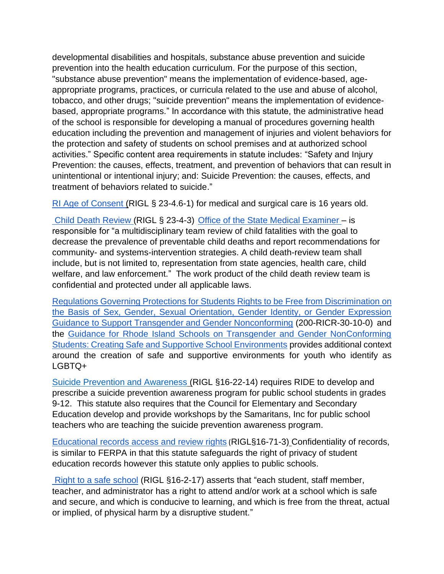developmental disabilities and hospitals, substance abuse prevention and suicide prevention into the health education curriculum. For the purpose of this section, "substance abuse prevention" means the implementation of evidence-based, ageappropriate programs, practices, or curricula related to the use and abuse of alcohol, tobacco, and other drugs; "suicide prevention" means the implementation of evidencebased, appropriate programs." In accordance with this statute, the administrative head of the school is responsible for developing a manual of procedures governing health education including the prevention and management of injuries and violent behaviors for the protection and safety of students on school premises and at authorized school activities." Specific content area requirements in statute includes: "Safety and Injury Prevention: the causes, effects, treatment, and prevention of behaviors that can result in unintentional or intentional injury; and: Suicide Prevention: the causes, effects, and treatment of behaviors related to suicide."

[RI Age of Consent \(](http://webserver.rilegislature.gov/Statutes/TITLE23/23-4.6/23-4.6-1.htm)RIGL § 23-4.6-1) for medical and surgical care is 16 years old.

[Child Death Review \(RIGL § 23-4-3\)](http://webserver.rilegislature.gov/Statutes/TITLE23/23-4/23-4-3.htm) Office of the State Medical Examiner – is responsible for "a multidisciplinary team review of child fatalities with the goal to decrease the prevalence of preventable child deaths and report recommendations for community- and systems-intervention strategies. A child death-review team shall include, but is not limited to, representation from state agencies, health care, child welfare, and law enforcement." The work product of the child death review team is confidential and protected under all applicable laws.

[Regulations Governing Protections for Students Rights to be Free from Discrimination on](https://www.ride.ri.gov/Portals/0/Uploads/Documents/Board-of-Education/Regulations/200-RICR-30-10-1_(Transgender_Regulations).pdf?ver=2018-12-19-141720-427)  [the Basis of Sex, Gender, Sexual Orientation, Gender Identity, or Gender Expression](https://www.ride.ri.gov/Portals/0/Uploads/Documents/Board-of-Education/Regulations/200-RICR-30-10-1_(Transgender_Regulations).pdf?ver=2018-12-19-141720-427)  [Guidance to Support Transgender and Gender Nonconforming](https://www.ride.ri.gov/Portals/0/Uploads/Documents/Board-of-Education/Regulations/200-RICR-30-10-1_(Transgender_Regulations).pdf?ver=2018-12-19-141720-427) (200-RICR-30-10-0) and the [Guidance for Rhode Island Schools on Transgender and Gender NonConforming](http://www.thriveri.org/documents/Guidance.for.RhodeIsland.Schools.on.Transgender.and.Gender.Nonconforming.Students-2016.pdf)  [Students: Creating Safe and Supportive School Environments](http://www.thriveri.org/documents/Guidance.for.RhodeIsland.Schools.on.Transgender.and.Gender.Nonconforming.Students-2016.pdf) provides additional context around the creation of safe and supportive environments for youth who identify as LGBTQ+

Suicide [Prevention and Awareness](http://webserver.rilin.state.ri.us/Statutes/TITLE16/16-22/16-22-14.HTM) (RIGL §16-22-14) requires RIDE to develop and prescribe a suicide prevention awareness program for public school students in grades 9-12. This statute also requires that the Council for Elementary and Secondary Education develop and provide workshops by the Samaritans, Inc for public school teachers who are teaching the suicide prevention awareness program.

[Educational records access and review rights](http://webserver.rilin.state.ri.us/Statutes/TITLE16/16-71/16-71-3.HTM) (RIGL§16-71-3) Confidentiality of records, is similar to FERPA in that this statute safeguards the right of privacy of student education records however this statute only applies to public schools.

[Right to a safe school](http://webserver.rilin.state.ri.us/Statutes/TITLE16/16-2/16-2-17.HTM) (RIGL §16-2-17) asserts that "each student, staff member, teacher, and administrator has a right to attend and/or work at a school which is safe and secure, and which is conducive to learning, and which is free from the threat, actual or implied, of physical harm by a disruptive student."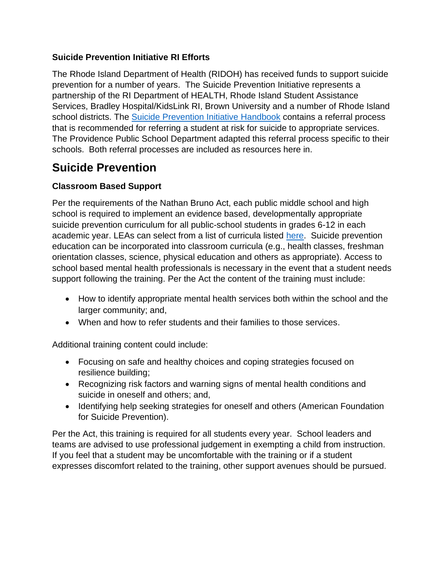## **Suicide Prevention Initiative RI Efforts**

The Rhode Island Department of Health (RIDOH) has received funds to support suicide prevention for a number of years. The Suicide Prevention Initiative represents a partnership of the RI Department of HEALTH, Rhode Island Student Assistance Services, Bradley Hospital/KidsLink RI, Brown University and a number of Rhode Island school districts. The [Suicide Prevention Initiative Handbook](https://preventsuicideri.org/wp-content/uploads/2021/12/SPI-Handbook.pdf) contains a referral process that is recommended for referring a student at risk for suicide to appropriate services. The Providence Public School Department adapted this referral process specific to their schools. Both referral processes are included as resources here in.

# **Suicide Prevention**

## **Classroom Based Support**

Per the requirements of the Nathan Bruno Act, each public middle school and high school is required to implement an evidence based, developmentally appropriate suicide prevention curriculum for all public-school students in grades 6-12 in each academic year. LEAs can select from a list of curricula listed [here.](https://www.ride.ri.gov/Portals/0/Uploads/Documents/Students-and-Families-Great-Schools/Health-Safety/Mental-Wellness/Resource-List.pdf?ver=2022-03-29-105910-987) Suicide prevention education can be incorporated into classroom curricula (e.g., health classes, freshman orientation classes, science, physical education and others as appropriate). Access to school based mental health professionals is necessary in the event that a student needs support following the training. Per the Act the content of the training must include:

- How to identify appropriate mental health services both within the school and the larger community; and,
- When and how to refer students and their families to those services.

Additional training content could include:

- Focusing on safe and healthy choices and coping strategies focused on resilience building;
- Recognizing risk factors and warning signs of mental health conditions and suicide in oneself and others; and,
- Identifying help seeking strategies for oneself and others (American Foundation for Suicide Prevention).

Per the Act, this training is required for all students every year. School leaders and teams are advised to use professional judgement in exempting a child from instruction. If you feel that a student may be uncomfortable with the training or if a student expresses discomfort related to the training, other support avenues should be pursued.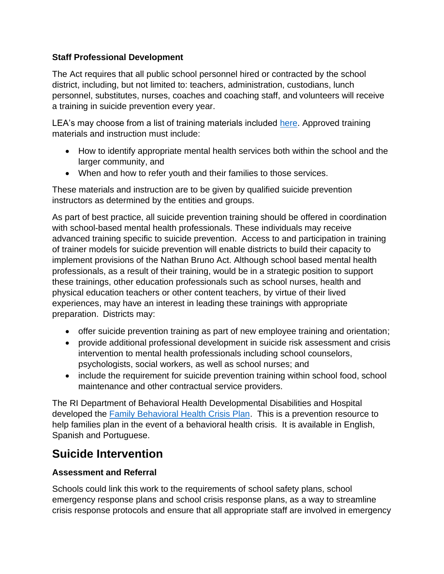## **Staff Professional Development**

The Act requires that all public school personnel hired or contracted by the school district, including, but not limited to: teachers, administration, custodians, lunch personnel, substitutes, nurses, coaches and coaching staff, and volunteers will receive a training in suicide prevention every year.

LEA's may choose from a list of training materials included [here.](https://www.ride.ri.gov/Portals/0/Uploads/Documents/Students-and-Families-Great-Schools/Health-Safety/Mental-Wellness/Resource-List.pdf?ver=2022-03-29-105910-987) Approved training materials and instruction must include:

- How to identify appropriate mental health services both within the school and the larger community, and
- When and how to refer youth and their families to those services.

These materials and instruction are to be given by qualified suicide prevention instructors as determined by the entities and groups.

As part of best practice, all suicide prevention training should be offered in coordination with school-based mental health professionals. These individuals may receive advanced training specific to suicide prevention. Access to and participation in training of trainer models for suicide prevention will enable districts to build their capacity to implement provisions of the Nathan Bruno Act. Although school based mental health professionals, as a result of their training, would be in a strategic position to support these trainings, other education professionals such as school nurses, health and physical education teachers or other content teachers, by virtue of their lived experiences, may have an interest in leading these trainings with appropriate preparation. Districts may:

- offer suicide prevention training as part of new employee training and orientation;
- provide additional professional development in suicide risk assessment and crisis intervention to mental health professionals including school counselors, psychologists, social workers, as well as school nurses; and
- include the requirement for suicide prevention training within school food, school maintenance and other contractual service providers.

The RI Department of Behavioral Health Developmental Disabilities and Hospital developed the [Family Behavioral Health Crisis Plan.](https://bhddh.ri.gov/mental-health/individual-and-family-information/family-behavioral-health-crisis-plan) This is a prevention resource to help families plan in the event of a behavioral health crisis. It is available in English, Spanish and Portuguese.

## **Suicide Intervention**

## **Assessment and Referral**

Schools could link this work to the requirements of school safety plans, school emergency response plans and school crisis response plans, as a way to streamline crisis response protocols and ensure that all appropriate staff are involved in emergency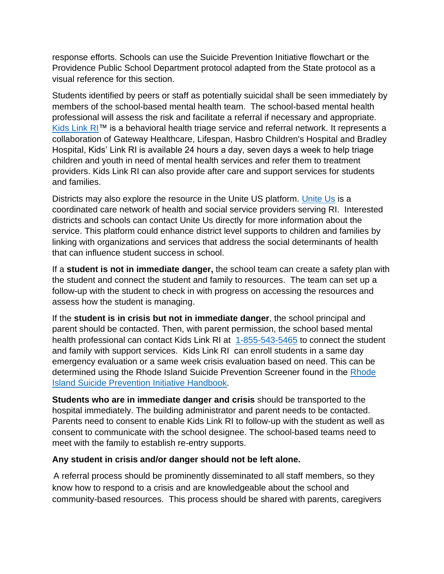response efforts. Schools can use the Suicide Prevention Initiative flowchart or the Providence Public School Department protocol adapted from the State protocol as a visual reference for this section.

Students identified by peers or staff as potentially suicidal shall be seen immediately by members of the school-based mental health team. The school-based mental health professional will assess the risk and facilitate a referral if necessary and appropriate. [Kids Link](https://www.lifespan.org/centers-services/kids-link-ri) RI™ is a behavioral health triage service and referral network. It represents a collaboration of Gateway Healthcare, Lifespan, Hasbro Children's Hospital and Bradley Hospital, Kids' Link RI is available 24 hours a day, seven days a week to help triage children and youth in need of mental health services and refer them to treatment providers. Kids Link RI can also provide after care and support services for students and families.

Districts may also explore the resource in the Unite US platform. [Unite Us](https://rhodeisland.uniteus.com/about/) is a coordinated care network of health and social service providers serving RI. Interested districts and schools can contact Unite Us directly for more information about the service. This platform could enhance district level supports to children and families by linking with organizations and services that address the social determinants of health that can influence student success in school.

If a **student is not in immediate danger,** the school team can create a safety plan with the student and connect the student and family to resources. The team can set up a follow-up with the student to check in with progress on accessing the resources and assess how the student is managing.

If the **student is in crisis but not in immediate danger**, the school principal and parent should be contacted. Then, with parent permission, the school based mental health professional can contact Kids Link RI at [1-855-543-5465](tel:1-855-543-5465) to connect the student and family with support services. Kids Link RI can enroll students in a same day emergency evaluation or a same week crisis evaluation based on need. This can be determined using the Rhode Island Suicide Prevention Screener found in the [Rhode](https://preventsuicideri.org/wp-content/uploads/2021/12/SPI-Handbook.pdf)  Island [Suicide Prevention](https://preventsuicideri.org/wp-content/uploads/2021/12/SPI-Handbook.pdf) Initiative Handbook.

**Students who are in immediate danger and crisis** should be transported to the hospital immediately. The building administrator and parent needs to be contacted. Parents need to consent to enable Kids Link RI to follow-up with the student as well as consent to communicate with the school designee. The school-based teams need to meet with the family to establish re-entry supports.

## **Any student in crisis and/or danger should not be left alone.**

A referral process should be prominently disseminated to all staff members, so they know how to respond to a crisis and are knowledgeable about the school and community-based resources. This process should be shared with parents, caregivers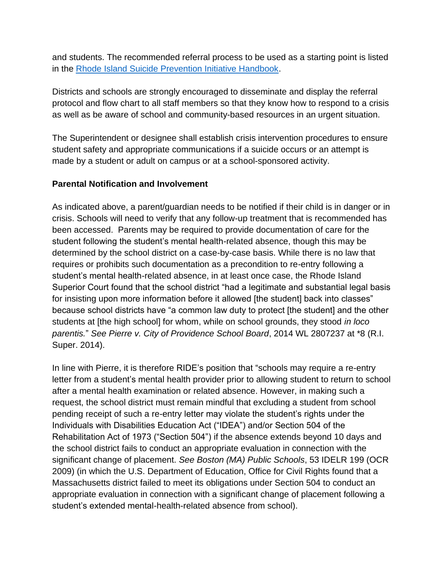and students. The recommended referral process to be used as a starting point is listed in the [Rhode Island Suicide Prevention Initiative Handbook.](https://preventsuicideri.org/wp-content/uploads/2021/12/SPI-Handbook.pdf)

Districts and schools are strongly encouraged to disseminate and display the referral protocol and flow chart to all staff members so that they know how to respond to a crisis as well as be aware of school and community-based resources in an urgent situation.

The Superintendent or designee shall establish crisis intervention procedures to ensure student safety and appropriate communications if a suicide occurs or an attempt is made by a student or adult on campus or at a school-sponsored activity.

#### **Parental Notification and Involvement**

As indicated above, a parent/guardian needs to be notified if their child is in danger or in crisis. Schools will need to verify that any follow-up treatment that is recommended has been accessed. Parents may be required to provide documentation of care for the student following the student's mental health-related absence, though this may be determined by the school district on a case-by-case basis. While there is no law that requires or prohibits such documentation as a precondition to re-entry following a student's mental health-related absence, in at least once case, the Rhode Island Superior Court found that the school district "had a legitimate and substantial legal basis for insisting upon more information before it allowed [the student] back into classes" because school districts have "a common law duty to protect [the student] and the other students at [the high school] for whom, while on school grounds, they stood *in loco parentis.*" *See Pierre v. City of Providence School Board*, 2014 WL 2807237 at \*8 (R.I. Super. 2014).

In line with Pierre, it is therefore RIDE's position that "schools may require a re-entry letter from a student's mental health provider prior to allowing student to return to school after a mental health examination or related absence. However, in making such a request, the school district must remain mindful that excluding a student from school pending receipt of such a re-entry letter may violate the student's rights under the Individuals with Disabilities Education Act ("IDEA") and/or Section 504 of the Rehabilitation Act of 1973 ("Section 504") if the absence extends beyond 10 days and the school district fails to conduct an appropriate evaluation in connection with the significant change of placement. *See Boston (MA) Public Schools*, 53 IDELR 199 (OCR 2009) (in which the U.S. Department of Education, Office for Civil Rights found that a Massachusetts district failed to meet its obligations under Section 504 to conduct an appropriate evaluation in connection with a significant change of placement following a student's extended mental-health-related absence from school).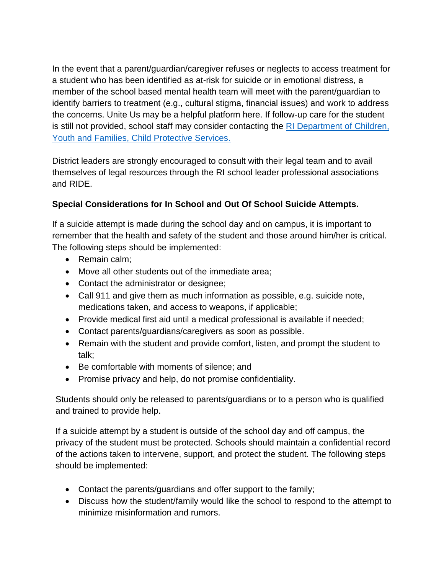In the event that a parent/guardian/caregiver refuses or neglects to access treatment for a student who has been identified as at-risk for suicide or in emotional distress, a member of the school based mental health team will meet with the parent/guardian to identify barriers to treatment (e.g., cultural stigma, financial issues) and work to address the concerns. Unite Us may be a helpful platform here. If follow-up care for the student is still not provided, school staff may consider contacting the RI Department of Children, [Youth and Families, Child Protective Services.](https://dcyf.ri.gov/services/child-protective-services)

District leaders are strongly encouraged to consult with their legal team and to avail themselves of legal resources through the RI school leader professional associations and RIDE.

## **Special Considerations for In School and Out Of School Suicide Attempts.**

If a suicide attempt is made during the school day and on campus, it is important to remember that the health and safety of the student and those around him/her is critical. The following steps should be implemented:

- Remain calm;
- Move all other students out of the immediate area;
- Contact the administrator or designee;
- Call 911 and give them as much information as possible, e.g. suicide note, medications taken, and access to weapons, if applicable;
- Provide medical first aid until a medical professional is available if needed;
- Contact parents/guardians/caregivers as soon as possible.
- Remain with the student and provide comfort, listen, and prompt the student to talk;
- Be comfortable with moments of silence; and
- Promise privacy and help, do not promise confidentiality.

Students should only be released to parents/guardians or to a person who is qualified and trained to provide help.

If a suicide attempt by a student is outside of the school day and off campus, the privacy of the student must be protected. Schools should maintain a confidential record of the actions taken to intervene, support, and protect the student. The following steps should be implemented:

- Contact the parents/guardians and offer support to the family;
- Discuss how the student/family would like the school to respond to the attempt to minimize misinformation and rumors.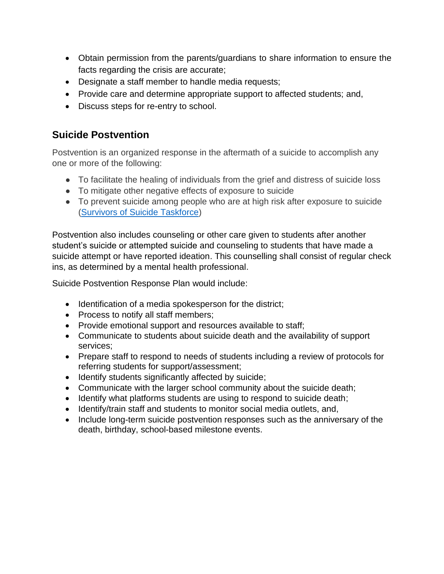- Obtain permission from the parents/guardians to share information to ensure the facts regarding the crisis are accurate;
- Designate a staff member to handle media requests;
- Provide care and determine appropriate support to affected students; and,
- Discuss steps for re-entry to school.

## **Suicide Postvention**

Postvention is an organized response in the aftermath of a suicide to accomplish any one or more of the following:

- To facilitate the healing of individuals from the grief and distress of suicide loss
- To mitigate other negative effects of exposure to suicide
- To prevent suicide among people who are at high risk after exposure to suicide [\(Survivors of Suicide Taskforce\)](https://suicidology.org/wp-content/uploads/2019/09/NationalGuidelines.pdf)

Postvention also includes counseling or other care given to students after another student's suicide or attempted suicide and counseling to students that have made a suicide attempt or have reported ideation. This counselling shall consist of regular check ins, as determined by a mental health professional.

Suicide Postvention Response Plan would include:

- Identification of a media spokesperson for the district;
- Process to notify all staff members;
- Provide emotional support and resources available to staff;
- Communicate to students about suicide death and the availability of support services;
- Prepare staff to respond to needs of students including a review of protocols for referring students for support/assessment;
- Identify students significantly affected by suicide;
- Communicate with the larger school community about the suicide death;
- Identify what platforms students are using to respond to suicide death;
- Identify/train staff and students to monitor social media outlets, and,
- Include long-term suicide postvention responses such as the anniversary of the death, birthday, school-based milestone events.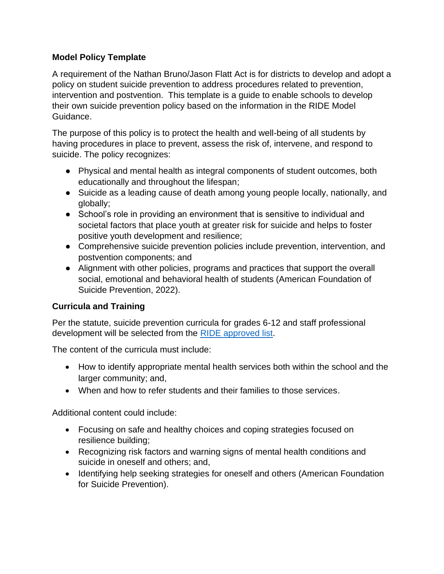## **Model Policy Template**

A requirement of the Nathan Bruno/Jason Flatt Act is for districts to develop and adopt a policy on student suicide prevention to address procedures related to prevention, intervention and postvention. This template is a guide to enable schools to develop their own suicide prevention policy based on the information in the RIDE Model Guidance.

The purpose of this policy is to protect the health and well-being of all students by having procedures in place to prevent, assess the risk of, intervene, and respond to suicide. The policy recognizes:

- Physical and mental health as integral components of student outcomes, both educationally and throughout the lifespan;
- Suicide as a leading cause of death among young people locally, nationally, and globally;
- School's role in providing an environment that is sensitive to individual and societal factors that place youth at greater risk for suicide and helps to foster positive youth development and resilience;
- Comprehensive suicide prevention policies include prevention, intervention, and postvention components; and
- Alignment with other policies, programs and practices that support the overall social, emotional and behavioral health of students (American Foundation of Suicide Prevention, 2022).

## **Curricula and Training**

Per the statute, suicide prevention curricula for grades 6-12 and staff professional development will be selected from the [RIDE approved list.](https://www.ride.ri.gov/Portals/0/Uploads/Documents/Students-and-Families-Great-Schools/Health-Safety/Mental-Wellness/Resource-List.pdf?ver=2022-03-29-105910-987)

The content of the curricula must include:

- How to identify appropriate mental health services both within the school and the larger community; and,
- When and how to refer students and their families to those services.

Additional content could include:

- Focusing on safe and healthy choices and coping strategies focused on resilience building;
- Recognizing risk factors and warning signs of mental health conditions and suicide in oneself and others; and,
- Identifying help seeking strategies for oneself and others (American Foundation for Suicide Prevention).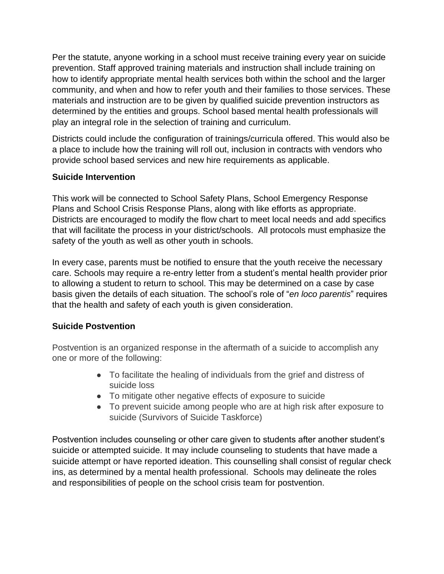Per the statute, anyone working in a school must receive training every year on suicide prevention. Staff approved training materials and instruction shall include training on how to identify appropriate mental health services both within the school and the larger community, and when and how to refer youth and their families to those services. These materials and instruction are to be given by qualified suicide prevention instructors as determined by the entities and groups. School based mental health professionals will play an integral role in the selection of training and curriculum.

Districts could include the configuration of trainings/curricula offered. This would also be a place to include how the training will roll out, inclusion in contracts with vendors who provide school based services and new hire requirements as applicable.

## **Suicide Intervention**

This work will be connected to School Safety Plans, School Emergency Response Plans and School Crisis Response Plans, along with like efforts as appropriate. Districts are encouraged to modify the flow chart to meet local needs and add specifics that will facilitate the process in your district/schools. All protocols must emphasize the safety of the youth as well as other youth in schools.

In every case, parents must be notified to ensure that the youth receive the necessary care. Schools may require a re-entry letter from a student's mental health provider prior to allowing a student to return to school. This may be determined on a case by case basis given the details of each situation. The school's role of "*en loco parentis*" requires that the health and safety of each youth is given consideration.

## **Suicide Postvention**

Postvention is an organized response in the aftermath of a suicide to accomplish any one or more of the following:

- To facilitate the healing of individuals from the grief and distress of suicide loss
- To mitigate other negative effects of exposure to suicide
- To prevent suicide among people who are at high risk after exposure to suicide (Survivors of Suicide Taskforce)

Postvention includes counseling or other care given to students after another student's suicide or attempted suicide. It may include counseling to students that have made a suicide attempt or have reported ideation. This counselling shall consist of regular check ins, as determined by a mental health professional. Schools may delineate the roles and responsibilities of people on the school crisis team for postvention.